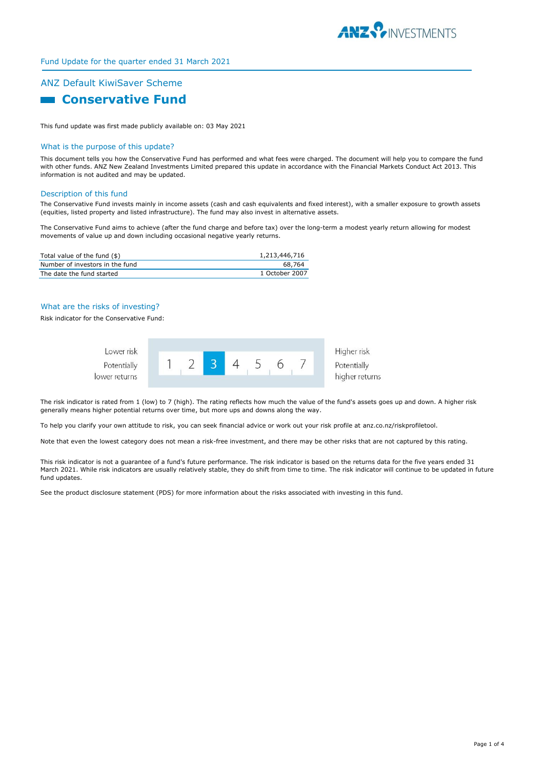

# Fund Update for the quarter ended 31 March 2021

# ANZ Default KiwiSaver Scheme

**Ending Conservative Fund** 

This fund update was first made publicly available on: 03 May 2021

## What is the purpose of this update?

This document tells you how the Conservative Fund has performed and what fees were charged. The document will help you to compare the fund with other funds. ANZ New Zealand Investments Limited prepared this update in accordance with the Financial Markets Conduct Act 2013. This information is not audited and may be updated.

## Description of this fund

The Conservative Fund invests mainly in income assets (cash and cash equivalents and fixed interest), with a smaller exposure to growth assets (equities, listed property and listed infrastructure). The fund may also invest in alternative assets.

The Conservative Fund aims to achieve (after the fund charge and before tax) over the long-term a modest yearly return allowing for modest movements of value up and down including occasional negative yearly returns.

| Total value of the fund (\$)    | 1,213,446,716  |
|---------------------------------|----------------|
| Number of investors in the fund | 68.764         |
| The date the fund started       | 1 October 2007 |

## What are the risks of investing?

Risk indicator for the Conservative Fund:



The risk indicator is rated from 1 (low) to 7 (high). The rating reflects how much the value of the fund's assets goes up and down. A higher risk generally means higher potential returns over time, but more ups and downs along the way.

To help you clarify your own attitude to risk, you can seek financial advice or work out your risk profile at anz.co.nz/riskprofiletool.

Note that even the lowest category does not mean a risk-free investment, and there may be other risks that are not captured by this rating.

This risk indicator is not a guarantee of a fund's future performance. The risk indicator is based on the returns data for the five years ended 31 March 2021. While risk indicators are usually relatively stable, they do shift from time to time. The risk indicator will continue to be updated in future fund updates.

See the product disclosure statement (PDS) for more information about the risks associated with investing in this fund.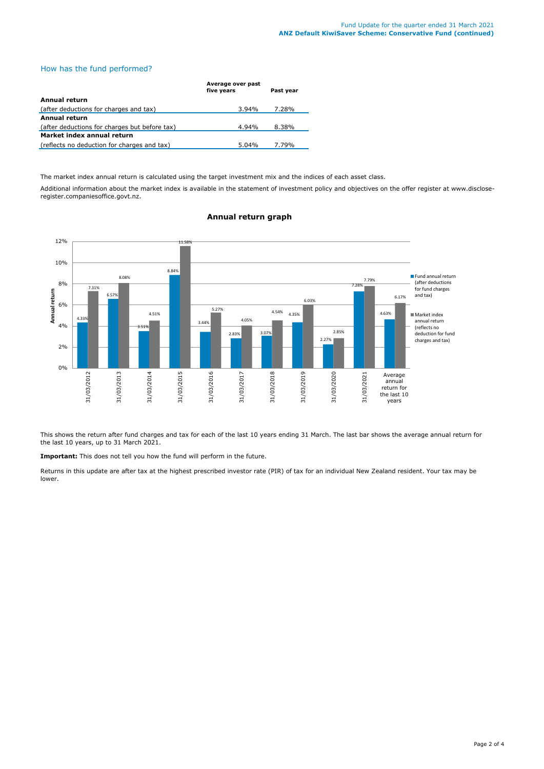# How has the fund performed?

|                                               | Average over past<br>five years | Past year |  |  |
|-----------------------------------------------|---------------------------------|-----------|--|--|
| Annual return                                 |                                 |           |  |  |
| (after deductions for charges and tax)        | 3.94%                           | 7.28%     |  |  |
| Annual return                                 |                                 |           |  |  |
| (after deductions for charges but before tax) | 4.94%                           | 8.38%     |  |  |
| Market index annual return                    |                                 |           |  |  |
| (reflects no deduction for charges and tax)   | 5.04%                           | 7.79%     |  |  |

The market index annual return is calculated using the target investment mix and the indices of each asset class.

Additional information about the market index is available in the statement of investment policy and objectives on the offer register at www.discloseregister.companiesoffice.govt.nz.



# **Annual return graph**

This shows the return after fund charges and tax for each of the last 10 years ending 31 March. The last bar shows the average annual return for the last 10 years, up to 31 March 2021.

**Important:** This does not tell you how the fund will perform in the future.

Returns in this update are after tax at the highest prescribed investor rate (PIR) of tax for an individual New Zealand resident. Your tax may be lower.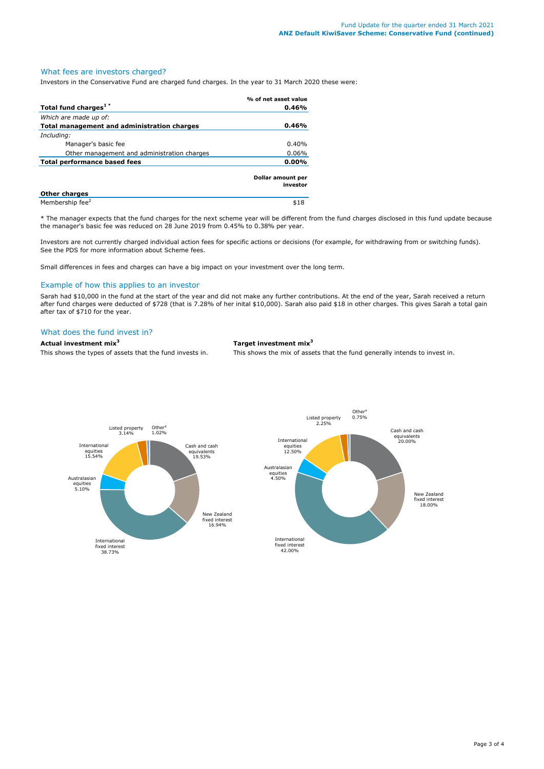# What fees are investors charged?

Investors in the Conservative Fund are charged fund charges. In the year to 31 March 2020 these were:

|                                             | % of net asset value          |
|---------------------------------------------|-------------------------------|
| Total fund charges <sup>1*</sup>            | 0.46%                         |
| Which are made up of:                       |                               |
| Total management and administration charges | 0.46%                         |
| Including:                                  |                               |
| Manager's basic fee                         | 0.40%                         |
| Other management and administration charges | 0.06%                         |
| Total performance based fees                | $0.00\%$                      |
|                                             | Dollar amount per<br>investor |
| <b>Other charges</b>                        |                               |

Membership fee $^{2}$  \$18 \* The manager expects that the fund charges for the next scheme year will be different from the fund charges disclosed in this fund update because the manager's basic fee was reduced on 28 June 2019 from 0.45% to 0.38% per year.

Investors are not currently charged individual action fees for specific actions or decisions (for example, for withdrawing from or switching funds). See the PDS for more information about Scheme fees.

Small differences in fees and charges can have a big impact on your investment over the long term.

# Example of how this applies to an investor

Sarah had \$10,000 in the fund at the start of the year and did not make any further contributions. At the end of the year, Sarah received a return after fund charges were deducted of \$728 (that is 7.28% of her inital \$10,000). Sarah also paid \$18 in other charges. This gives Sarah a total gain after tax of \$710 for the year.

# What does the fund invest in?

## **Actual investment mix<sup>3</sup> Target investment mix<sup>3</sup>**

This shows the types of assets that the fund invests in. This shows the mix of assets that the fund generally intends to invest in.